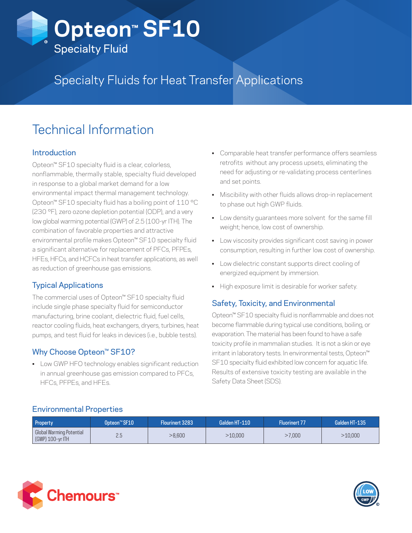

# Specialty Fluids for Heat Transfer Applications

# Technical Information

## Introduction

Opteon™ SF10 specialty fluid is a clear, colorless, nonflammable, thermally stable, specialty fluid developed in response to a global market demand for a low environmental impact thermal management technology. Opteon™ SF10 specialty fluid has a boiling point of 110 °C (230 °F), zero ozone depletion potential (ODP), and a very low global warming potential (GWP) of 2.5 (100-yr ITH). The combination of favorable properties and attractive environmental profile makes Opteon™ SF10 specialty fluid a significant alternative for replacement of PFCs, PFPEs, HFEs, HFCs, and HCFCs in heat transfer applications, as well as reduction of greenhouse gas emissions.

## Typical Applications

The commercial uses of Opteon™ SF10 specialty fluid include single phase specialty fluid for semiconductor manufacturing, brine coolant, dielectric fluid, fuel cells, reactor cooling fluids, heat exchangers, dryers, turbines, heat pumps, and test fluid for leaks in devices (i.e., bubble tests).

# Why Choose Opteon™ SF10?

• Low GWP HFO technology enables significant reduction in annual greenhouse gas emission compared to PFCs, HFCs, PFPEs, and HFEs.

- Comparable heat transfer performance offers seamless retrofits without any process upsets, eliminating the need for adjusting or re-validating process centerlines and set points.
- Miscibility with other fluids allows drop-in replacement to phase out high GWP fluids.
- Low density guarantees more solvent for the same fill weight; hence, low cost of ownership.
- Low viscosity provides significant cost saving in power consumption, resulting in further low cost of ownership.
- Low dielectric constant supports direct cooling of energized equipment by immersion.
- High exposure limit is desirable for worker safety.

## Safety, Toxicity, and Environmental

Opteon™ SF10 specialty fluid is nonflammable and does not become flammable during typical use conditions, boiling, or evaporation. The material has been found to have a safe toxicity profile in mammalian studies. It is not a skin or eye irritant in laboratory tests. In environmental tests, Opteon™ SF10 specialty fluid exhibited low concern for aquatic life. Results of extensive toxicity testing are available in the Safety Data Sheet (SDS).

### Environmental Properties

| Property                                     | Opteon <sup>™</sup> SF10 | Flourinert 3283 | Galden HT-110 | <b>Fluorinert 77</b> | Galden HT-135 |
|----------------------------------------------|--------------------------|-----------------|---------------|----------------------|---------------|
| Global Warming Potential<br>(GWP) 100-yr ITH |                          | >8.600          | >10,000       | .7.000               | >10,000       |



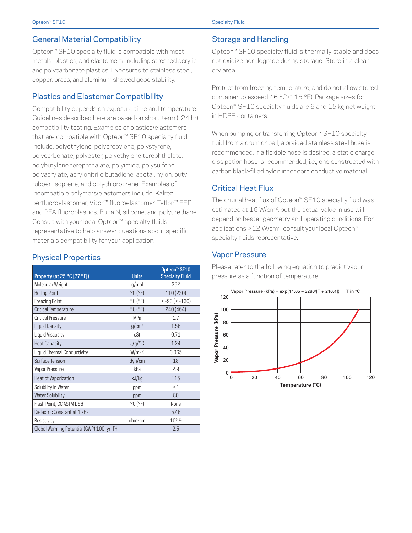#### General Material Compatibility

Opteon™ SF10 specialty fluid is compatible with most metals, plastics, and elastomers, including stressed acrylic and polycarbonate plastics. Exposures to stainless steel, copper, brass, and aluminum showed good stability.

#### Plastics and Elastomer Compatibility

Compatibility depends on exposure time and temperature. Guidelines described here are based on short-term (~24 hr) compatibility testing. Examples of plastics/elastomers that are compatible with Opteon™ SF10 specialty fluid include: polyethylene, polypropylene, polystyrene, polycarbonate, polyester, polyethylene terephthalate, polybutylene terephthalate, polyimide, polysulfone, polyacrylate, acrylonitrile butadiene, acetal, nylon, butyl rubber, isoprene, and polychloroprene. Examples of incompatible polymers/elastomers include: Kalrez perfluoroelastomer, Viton™ fluoroelastomer, Teflon™ FEP and PFA fluoroplastics, Buna N, silicone, and polyurethane. Consult with your local Opteon™ specialty fluids representative to help answer questions about specific materials compatibility for your application.

#### Physical Properties

| Property (at 25 °C [77 °F])               | <b>Units</b>                 | Opteon <sup>™</sup> SF10<br><b>Specialty Fluid</b> |
|-------------------------------------------|------------------------------|----------------------------------------------------|
| Molecular Weight                          | g/mol                        | 362                                                |
| <b>Boiling Point</b>                      | $^{\circ}$ C ( $^{\circ}$ F) | 110 (230)                                          |
| <b>Freezing Point</b>                     | $^{\circ}$ C ( $^{\circ}$ F) | $< -90$ ( $< -130$ )                               |
| <b>Critical Temperature</b>               | $^{\circ}$ C ( $^{\circ}$ F) | 240 (464)                                          |
| <b>Critical Pressure</b>                  | MPa                          | 1.7                                                |
| Liquid Density                            | g/cm <sup>3</sup>            | 1.58                                               |
| Liquid Viscosity                          | cSt                          | 0.71                                               |
| <b>Heat Capacity</b>                      | J/g/C                        | 1.24                                               |
| Liquid Thermal Conductivity               | $W/m-K$                      | 0.065                                              |
| Surface Tension                           | dyn/cm                       | 18                                                 |
| Vapor Pressure                            | kPa                          | 2.9                                                |
| Heat of Vaporization                      | kJ/kg                        | 115                                                |
| Solubility in Water                       | ppm                          | $<$ 1                                              |
| <b>Water Solubility</b>                   | ppm                          | 80                                                 |
| Flash Point, CC ASTM D56                  | $^{\circ}$ C ( $^{\circ}$ F) | None                                               |
| Dielectric Constant at 1 kHz              |                              | 5.48                                               |
| Resistivity                               | ohm-cm                       | $10^{9-11}$                                        |
| Global Warming Potential (GWP) 100-yr ITH |                              | 2.5                                                |

#### Storage and Handling

Opteon™ SF10 specialty fluid is thermally stable and does not oxidize nor degrade during storage. Store in a clean, dry area.

Protect from freezing temperature, and do not allow stored container to exceed 46 °C (115 °F). Package sizes for Opteon™ SF10 specialty fluids are 6 and 15 kg net weight in HDPE containers.

When pumping or transferring Opteon™ SF10 specialty fluid from a drum or pail, a braided stainless steel hose is recommended. If a flexible hose is desired, a static charge dissipation hose is recommended, i.e., one constructed with carbon black-filled nylon inner core conductive material.

#### Critical Heat Flux

The critical heat flux of Opteon™ SF10 specialty fluid was estimated at 16 W/cm2, but the actual value in use will depend on heater geometry and operating conditions. For applications >12 W/cm2, consult your local Opteon™ specialty fluids representative.

#### Vapor Pressure

Please refer to the following equation to predict vapor pressure as a function of temperature.

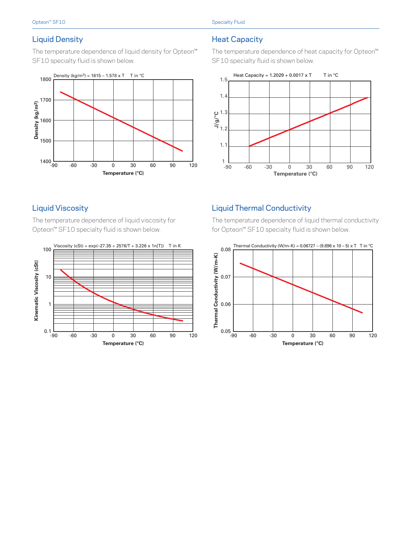### Liquid Density

The temperature dependence of liquid density for Opteon™ SF10 specialty fluid is shown below.



## Heat Capacity

The temperature dependence of heat capacity for Opteon™ SF10 specialty fluid is shown below.



## Liquid Viscosity

The temperature dependence of liquid viscosity for Opteon™ SF10 specialty fluid is shown below.



# Liquid Thermal Conductivity

The temperature dependence of liquid thermal conductivity for Opteon™ SF10 specialty fluid is shown below.